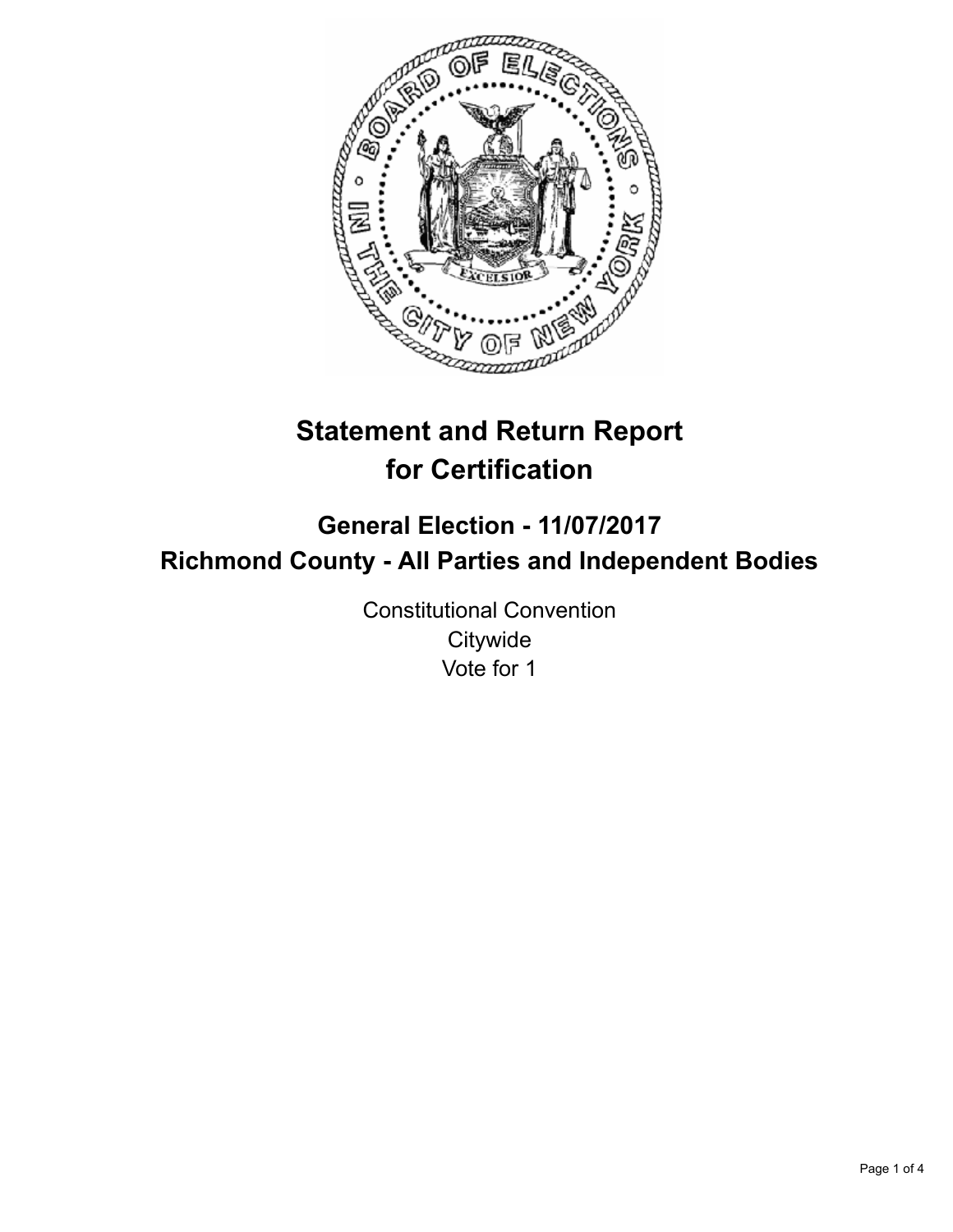

# **Statement and Return Report for Certification**

# **General Election - 11/07/2017 Richmond County - All Parties and Independent Bodies**

Constitutional Convention **Citywide** Vote for 1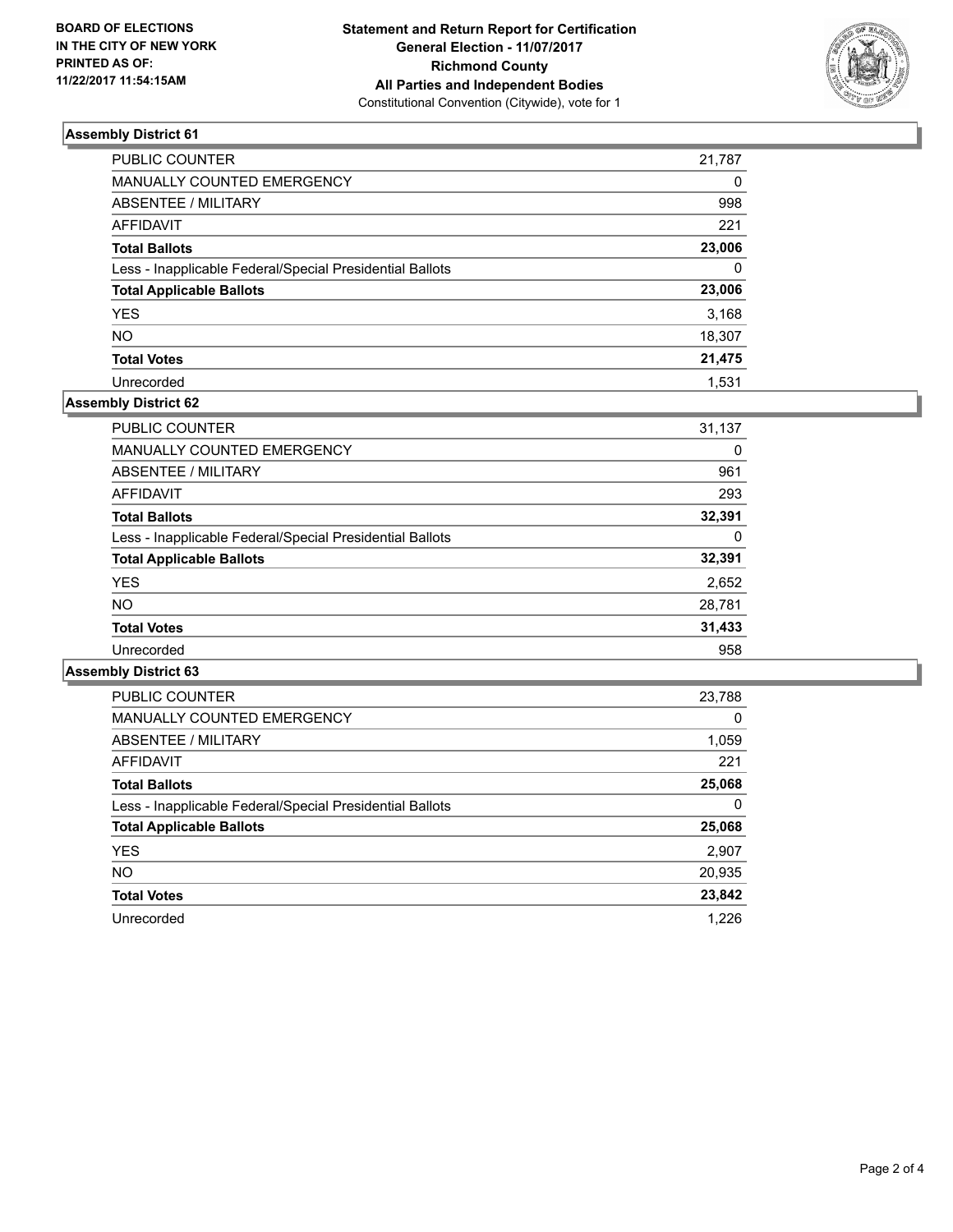

## **Assembly District 61**

| PUBLIC COUNTER                                           | 21,787   |
|----------------------------------------------------------|----------|
| <b>MANUALLY COUNTED EMERGENCY</b>                        | $\Omega$ |
| <b>ABSENTEE / MILITARY</b>                               | 998      |
| <b>AFFIDAVIT</b>                                         | 221      |
| <b>Total Ballots</b>                                     | 23,006   |
| Less - Inapplicable Federal/Special Presidential Ballots | $\Omega$ |
| <b>Total Applicable Ballots</b>                          | 23,006   |
| <b>YES</b>                                               | 3,168    |
| <b>NO</b>                                                | 18,307   |
| <b>Total Votes</b>                                       | 21,475   |
| Unrecorded                                               | 1.531    |

## **Assembly District 62**

| <b>PUBLIC COUNTER</b>                                    | 31,137 |
|----------------------------------------------------------|--------|
| <b>MANUALLY COUNTED EMERGENCY</b>                        | 0      |
| ABSENTEE / MILITARY                                      | 961    |
| AFFIDAVIT                                                | 293    |
| <b>Total Ballots</b>                                     | 32,391 |
| Less - Inapplicable Federal/Special Presidential Ballots | 0      |
| <b>Total Applicable Ballots</b>                          | 32,391 |
| <b>YES</b>                                               | 2,652  |
| <b>NO</b>                                                | 28,781 |
| <b>Total Votes</b>                                       | 31,433 |
| Unrecorded                                               | 958    |

#### **Assembly District 63**

| <b>PUBLIC COUNTER</b>                                    | 23,788 |
|----------------------------------------------------------|--------|
| <b>MANUALLY COUNTED EMERGENCY</b>                        | 0      |
| ABSENTEE / MILITARY                                      | 1,059  |
| AFFIDAVIT                                                | 221    |
| <b>Total Ballots</b>                                     | 25,068 |
| Less - Inapplicable Federal/Special Presidential Ballots | 0      |
| <b>Total Applicable Ballots</b>                          | 25,068 |
| <b>YES</b>                                               | 2,907  |
| NO.                                                      | 20,935 |
| <b>Total Votes</b>                                       | 23,842 |
| Unrecorded                                               | 1.226  |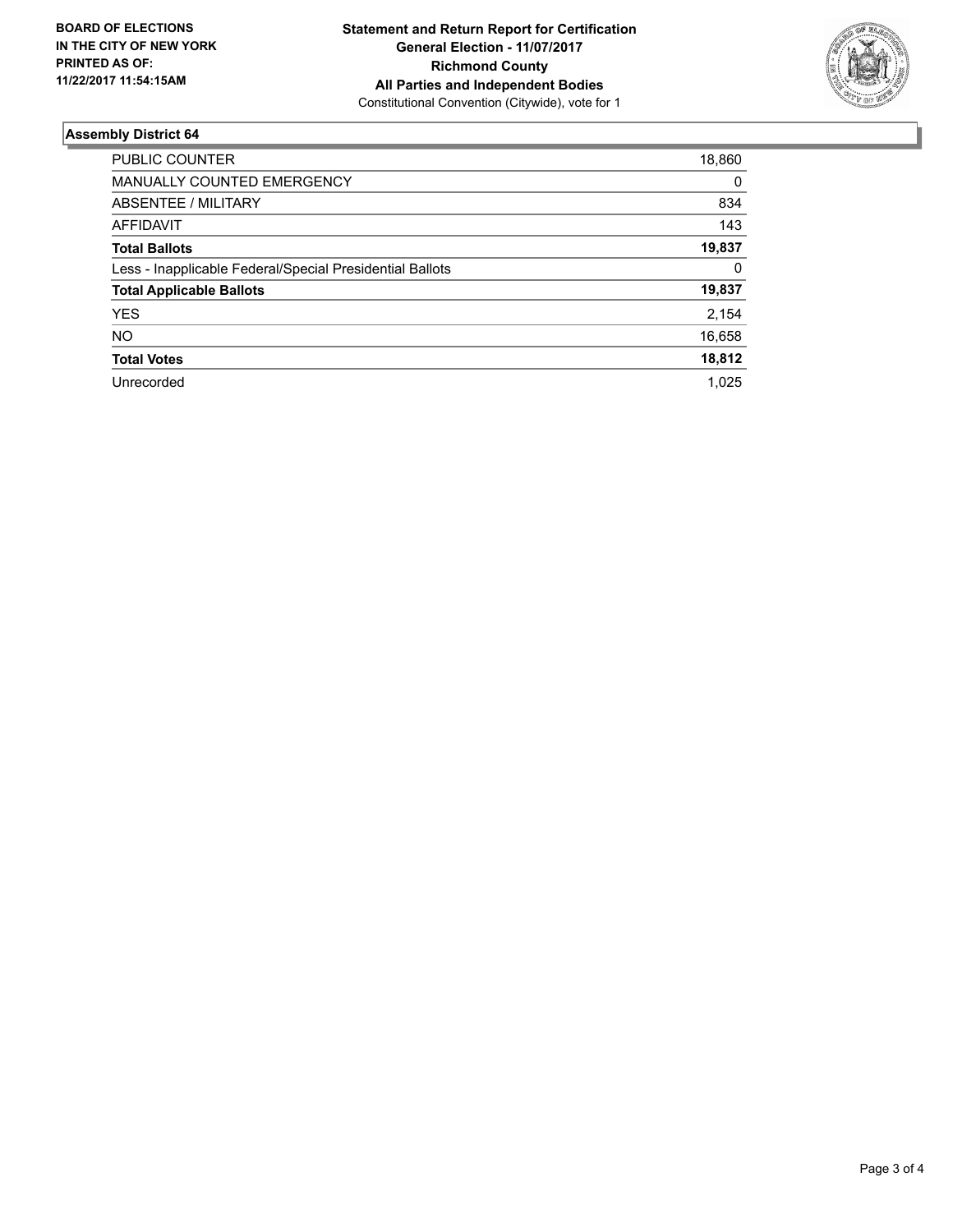

## **Assembly District 64**

| <b>PUBLIC COUNTER</b>                                    | 18,860 |
|----------------------------------------------------------|--------|
|                                                          |        |
| <b>MANUALLY COUNTED EMERGENCY</b>                        | 0      |
| ABSENTEE / MILITARY                                      | 834    |
| AFFIDAVIT                                                | 143    |
| <b>Total Ballots</b>                                     | 19,837 |
| Less - Inapplicable Federal/Special Presidential Ballots | 0      |
| <b>Total Applicable Ballots</b>                          | 19,837 |
| <b>YES</b>                                               | 2,154  |
| <b>NO</b>                                                | 16,658 |
| <b>Total Votes</b>                                       | 18.812 |
| Unrecorded                                               | 1.025  |